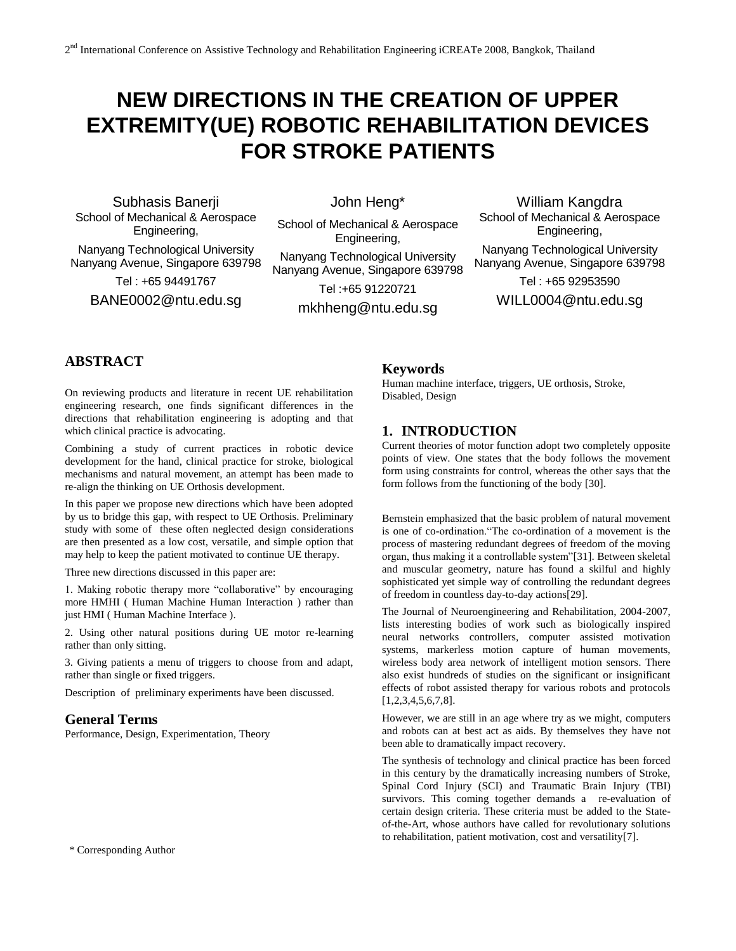# **NEW DIRECTIONS IN THE CREATION OF UPPER EXTREMITY(UE) ROBOTIC REHABILITATION DEVICES FOR STROKE PATIENTS**

Subhasis Banerji School of Mechanical & Aerospace Engineering, Nanyang Technological University

Nanyang Avenue, Singapore 639798

Tel : +65 94491767

BANE0002@ntu.edu.sg

John Heng\*

School of Mechanical & Aerospace Engineering,

Nanyang Technological University Nanyang Avenue, Singapore 639798

Tel :+65 91220721

mkhheng@ntu.edu.sg

William Kangdra School of Mechanical & Aerospace Engineering, Nanyang Technological University Nanyang Avenue, Singapore 639798 Tel : +65 92953590

WILL0004@ntu.edu.sg

## **ABSTRACT**

On reviewing products and literature in recent UE rehabilitation engineering research, one finds significant differences in the directions that rehabilitation engineering is adopting and that which clinical practice is advocating.

Combining a study of current practices in robotic device development for the hand, clinical practice for stroke, biological mechanisms and natural movement, an attempt has been made to re-align the thinking on UE Orthosis development.

In this paper we propose new directions which have been adopted by us to bridge this gap, with respect to UE Orthosis. Preliminary study with some of these often neglected design considerations are then presented as a low cost, versatile, and simple option that may help to keep the patient motivated to continue UE therapy.

Three new directions discussed in this paper are:

1. Making robotic therapy more "collaborative" by encouraging more HMHI ( Human Machine Human Interaction ) rather than just HMI ( Human Machine Interface ).

2. Using other natural positions during UE motor re-learning rather than only sitting.

3. Giving patients a menu of triggers to choose from and adapt, rather than single or fixed triggers.

Description of preliminary experiments have been discussed.

#### **General Terms**

Performance, Design, Experimentation, Theory

#### \* Corresponding Author

## **Keywords**

Human machine interface, triggers, UE orthosis, Stroke, Disabled, Design

#### **1. INTRODUCTION**

Current theories of motor function adopt two completely opposite points of view. One states that the body follows the movement form using constraints for control, whereas the other says that the form follows from the functioning of the body [30].

Bernstein emphasized that the basic problem of natural movement is one of co-ordination."The co-ordination of a movement is the process of mastering redundant degrees of freedom of the moving organ, thus making it a controllable system"[31]. Between skeletal and muscular geometry, nature has found a skilful and highly sophisticated yet simple way of controlling the redundant degrees of freedom in countless day-to-day actions[29].

The Journal of Neuroengineering and Rehabilitation, 2004-2007, lists interesting bodies of work such as biologically inspired neural networks controllers, computer assisted motivation systems, markerless motion capture of human movements, wireless body area network of intelligent motion sensors. There also exist hundreds of studies on the significant or insignificant effects of robot assisted therapy for various robots and protocols [1,2,3,4,5,6,7,8].

However, we are still in an age where try as we might, computers and robots can at best act as aids. By themselves they have not been able to dramatically impact recovery.

The synthesis of technology and clinical practice has been forced in this century by the dramatically increasing numbers of Stroke, Spinal Cord Injury (SCI) and Traumatic Brain Injury (TBI) survivors. This coming together demands a re-evaluation of certain design criteria. These criteria must be added to the Stateof-the-Art, whose authors have called for revolutionary solutions to rehabilitation, patient motivation, cost and versatility[7].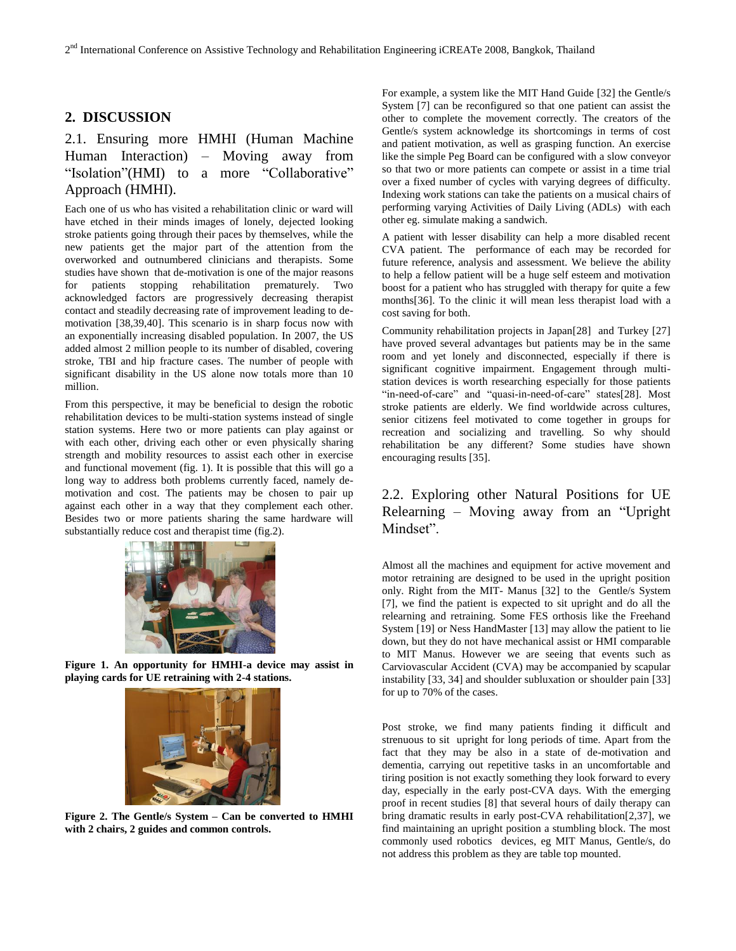## **2. DISCUSSION**

# 2.1. Ensuring more HMHI (Human Machine Human Interaction) – Moving away from "Isolation"(HMI) to a more "Collaborative" Approach (HMHI).

Each one of us who has visited a rehabilitation clinic or ward will have etched in their minds images of lonely, dejected looking stroke patients going through their paces by themselves, while the new patients get the major part of the attention from the overworked and outnumbered clinicians and therapists. Some studies have shown that de-motivation is one of the major reasons for patients stopping rehabilitation prematurely. Two acknowledged factors are progressively decreasing therapist contact and steadily decreasing rate of improvement leading to demotivation [38,39,40]. This scenario is in sharp focus now with an exponentially increasing disabled population. In 2007, the US added almost 2 million people to its number of disabled, covering stroke, TBI and hip fracture cases. The number of people with significant disability in the US alone now totals more than 10 million.

From this perspective, it may be beneficial to design the robotic rehabilitation devices to be multi-station systems instead of single station systems. Here two or more patients can play against or with each other, driving each other or even physically sharing strength and mobility resources to assist each other in exercise and functional movement (fig. 1). It is possible that this will go a long way to address both problems currently faced, namely demotivation and cost. The patients may be chosen to pair up against each other in a way that they complement each other. Besides two or more patients sharing the same hardware will substantially reduce cost and therapist time (fig.2).



**Figure 1. An opportunity for HMHI-a device may assist in playing cards for UE retraining with 2-4 stations.**



**Figure 2. The Gentle/s System – Can be converted to HMHI with 2 chairs, 2 guides and common controls.**

For example, a system like the MIT Hand Guide [32] the Gentle/s System [7] can be reconfigured so that one patient can assist the other to complete the movement correctly. The creators of the Gentle/s system acknowledge its shortcomings in terms of cost and patient motivation, as well as grasping function. An exercise like the simple Peg Board can be configured with a slow conveyor so that two or more patients can compete or assist in a time trial over a fixed number of cycles with varying degrees of difficulty. Indexing work stations can take the patients on a musical chairs of performing varying Activities of Daily Living (ADLs) with each other eg. simulate making a sandwich.

A patient with lesser disability can help a more disabled recent CVA patient. The performance of each may be recorded for future reference, analysis and assessment. We believe the ability to help a fellow patient will be a huge self esteem and motivation boost for a patient who has struggled with therapy for quite a few months[36]. To the clinic it will mean less therapist load with a cost saving for both.

Community rehabilitation projects in Japan[28] and Turkey [27] have proved several advantages but patients may be in the same room and yet lonely and disconnected, especially if there is significant cognitive impairment. Engagement through multistation devices is worth researching especially for those patients "in-need-of-care" and "quasi-in-need-of-care" states[28]. Most stroke patients are elderly. We find worldwide across cultures, senior citizens feel motivated to come together in groups for recreation and socializing and travelling. So why should rehabilitation be any different? Some studies have shown encouraging results [35].

## 2.2. Exploring other Natural Positions for UE Relearning – Moving away from an "Upright Mindset".

Almost all the machines and equipment for active movement and motor retraining are designed to be used in the upright position only. Right from the MIT- Manus [32] to the Gentle/s System [7], we find the patient is expected to sit upright and do all the relearning and retraining. Some FES orthosis like the Freehand System [19] or Ness HandMaster [13] may allow the patient to lie down, but they do not have mechanical assist or HMI comparable to MIT Manus. However we are seeing that events such as Carviovascular Accident (CVA) may be accompanied by scapular instability [33, 34] and shoulder subluxation or shoulder pain [33] for up to 70% of the cases.

Post stroke, we find many patients finding it difficult and strenuous to sit upright for long periods of time. Apart from the fact that they may be also in a state of de-motivation and dementia, carrying out repetitive tasks in an uncomfortable and tiring position is not exactly something they look forward to every day, especially in the early post-CVA days. With the emerging proof in recent studies [8] that several hours of daily therapy can bring dramatic results in early post-CVA rehabilitation[2,37], we find maintaining an upright position a stumbling block. The most commonly used robotics devices, eg MIT Manus, Gentle/s, do not address this problem as they are table top mounted.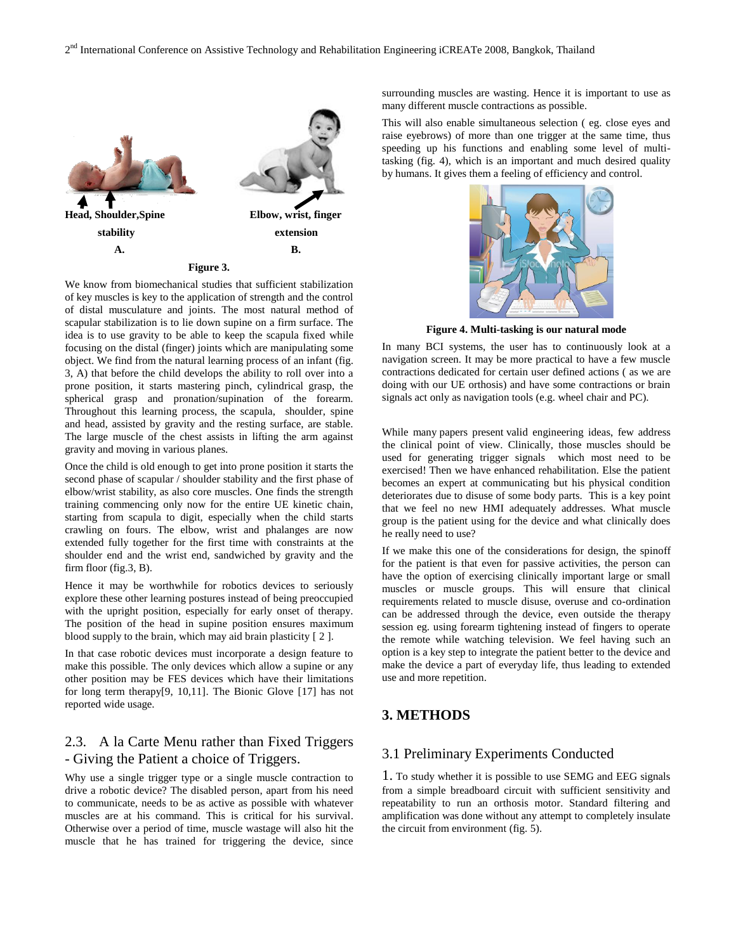

We know from biomechanical studies that sufficient stabilization of key muscles is key to the application of strength and the control of distal musculature and joints. The most natural method of scapular stabilization is to lie down supine on a firm surface. The idea is to use gravity to be able to keep the scapula fixed while focusing on the distal (finger) joints which are manipulating some object. We find from the natural learning process of an infant (fig. 3, A) that before the child develops the ability to roll over into a prone position, it starts mastering pinch, cylindrical grasp, the spherical grasp and pronation/supination of the forearm. Throughout this learning process, the scapula, shoulder, spine and head, assisted by gravity and the resting surface, are stable. The large muscle of the chest assists in lifting the arm against gravity and moving in various planes.

Once the child is old enough to get into prone position it starts the second phase of scapular / shoulder stability and the first phase of elbow/wrist stability, as also core muscles. One finds the strength training commencing only now for the entire UE kinetic chain, starting from scapula to digit, especially when the child starts crawling on fours. The elbow, wrist and phalanges are now extended fully together for the first time with constraints at the shoulder end and the wrist end, sandwiched by gravity and the firm floor (fig.3, B).

Hence it may be worthwhile for robotics devices to seriously explore these other learning postures instead of being preoccupied with the upright position, especially for early onset of therapy. The position of the head in supine position ensures maximum blood supply to the brain, which may aid brain plasticity [ 2 ].

In that case robotic devices must incorporate a design feature to make this possible. The only devices which allow a supine or any other position may be FES devices which have their limitations for long term therapy[9, 10,11]. The Bionic Glove [17] has not reported wide usage.

# 2.3. A la Carte Menu rather than Fixed Triggers - Giving the Patient a choice of Triggers.

Why use a single trigger type or a single muscle contraction to drive a robotic device? The disabled person, apart from his need to communicate, needs to be as active as possible with whatever muscles are at his command. This is critical for his survival. Otherwise over a period of time, muscle wastage will also hit the muscle that he has trained for triggering the device, since

surrounding muscles are wasting. Hence it is important to use as many different muscle contractions as possible.

This will also enable simultaneous selection ( eg. close eyes and raise eyebrows) of more than one trigger at the same time, thus speeding up his functions and enabling some level of multitasking (fig. 4), which is an important and much desired quality by humans. It gives them a feeling of efficiency and control.



**Figure 4. Multi-tasking is our natural mode**

In many BCI systems, the user has to continuously look at a navigation screen. It may be more practical to have a few muscle contractions dedicated for certain user defined actions ( as we are doing with our UE orthosis) and have some contractions or brain signals act only as navigation tools (e.g. wheel chair and PC).

While many papers present valid engineering ideas, few address the clinical point of view. Clinically, those muscles should be used for generating trigger signals which most need to be exercised! Then we have enhanced rehabilitation. Else the patient becomes an expert at communicating but his physical condition deteriorates due to disuse of some body parts. This is a key point that we feel no new HMI adequately addresses. What muscle group is the patient using for the device and what clinically does he really need to use?

If we make this one of the considerations for design, the spinoff for the patient is that even for passive activities, the person can have the option of exercising clinically important large or small muscles or muscle groups. This will ensure that clinical requirements related to muscle disuse, overuse and co-ordination can be addressed through the device, even outside the therapy session eg. using forearm tightening instead of fingers to operate the remote while watching television. We feel having such an option is a key step to integrate the patient better to the device and make the device a part of everyday life, thus leading to extended use and more repetition.

# **3. METHODS**

## 3.1 Preliminary Experiments Conducted

1. To study whether it is possible to use SEMG and EEG signals from a simple breadboard circuit with sufficient sensitivity and repeatability to run an orthosis motor. Standard filtering and amplification was done without any attempt to completely insulate the circuit from environment (fig. 5).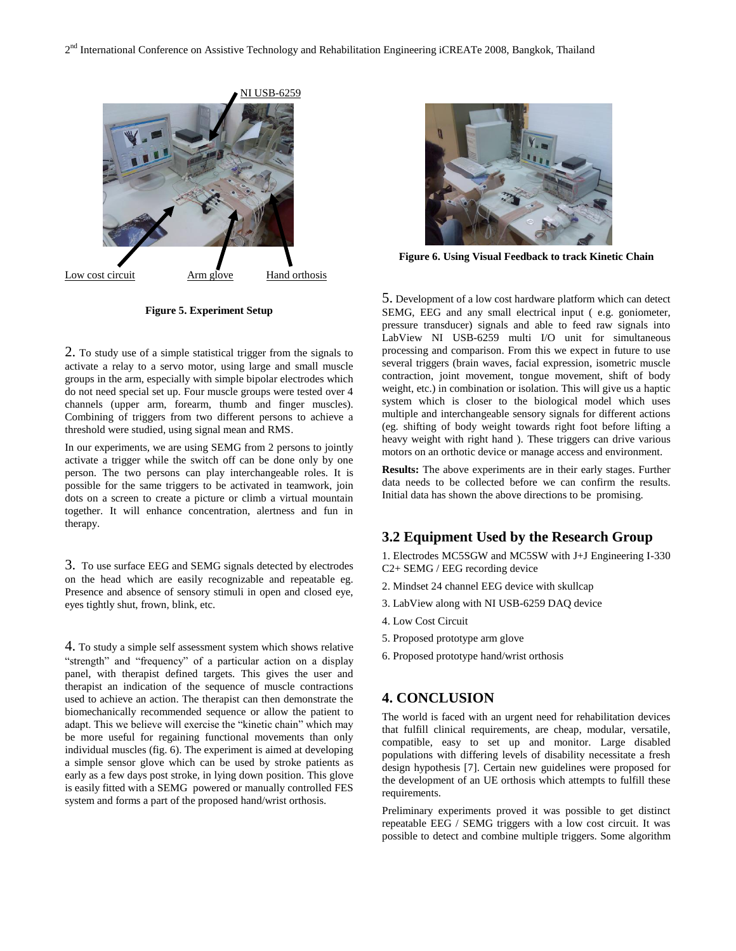

**Figure 5. Experiment Setup**

2. To study use of a simple statistical trigger from the signals to activate a relay to a servo motor, using large and small muscle groups in the arm, especially with simple bipolar electrodes which do not need special set up. Four muscle groups were tested over 4 channels (upper arm, forearm, thumb and finger muscles). Combining of triggers from two different persons to achieve a threshold were studied, using signal mean and RMS.

In our experiments, we are using SEMG from 2 persons to jointly activate a trigger while the switch off can be done only by one person. The two persons can play interchangeable roles. It is possible for the same triggers to be activated in teamwork, join dots on a screen to create a picture or climb a virtual mountain together. It will enhance concentration, alertness and fun in therapy.

3. To use surface EEG and SEMG signals detected by electrodes on the head which are easily recognizable and repeatable eg. Presence and absence of sensory stimuli in open and closed eye, eyes tightly shut, frown, blink, etc.

4. To study a simple self assessment system which shows relative "strength" and "frequency" of a particular action on a display panel, with therapist defined targets. This gives the user and therapist an indication of the sequence of muscle contractions used to achieve an action. The therapist can then demonstrate the biomechanically recommended sequence or allow the patient to adapt. This we believe will exercise the "kinetic chain" which may be more useful for regaining functional movements than only individual muscles (fig. 6). The experiment is aimed at developing a simple sensor glove which can be used by stroke patients as early as a few days post stroke, in lying down position. This glove is easily fitted with a SEMG powered or manually controlled FES system and forms a part of the proposed hand/wrist orthosis.



**Figure 6. Using Visual Feedback to track Kinetic Chain**

5. Development of a low cost hardware platform which can detect SEMG, EEG and any small electrical input ( e.g. goniometer, pressure transducer) signals and able to feed raw signals into LabView NI USB-6259 multi I/O unit for simultaneous processing and comparison. From this we expect in future to use several triggers (brain waves, facial expression, isometric muscle contraction, joint movement, tongue movement, shift of body weight, etc.) in combination or isolation. This will give us a haptic system which is closer to the biological model which uses multiple and interchangeable sensory signals for different actions (eg. shifting of body weight towards right foot before lifting a heavy weight with right hand ). These triggers can drive various motors on an orthotic device or manage access and environment.

**Results:** The above experiments are in their early stages. Further data needs to be collected before we can confirm the results. Initial data has shown the above directions to be promising.

## **3.2 Equipment Used by the Research Group**

1. Electrodes MC5SGW and MC5SW with J+J Engineering I-330 C2+ SEMG / EEG recording device

- 2. Mindset 24 channel EEG device with skullcap
- 3. LabView along with NI USB-6259 DAQ device
- 4. Low Cost Circuit
- 5. Proposed prototype arm glove
- 6. Proposed prototype hand/wrist orthosis

#### **4. CONCLUSION**

The world is faced with an urgent need for rehabilitation devices that fulfill clinical requirements, are cheap, modular, versatile, compatible, easy to set up and monitor. Large disabled populations with differing levels of disability necessitate a fresh design hypothesis [7]. Certain new guidelines were proposed for the development of an UE orthosis which attempts to fulfill these requirements.

Preliminary experiments proved it was possible to get distinct repeatable EEG / SEMG triggers with a low cost circuit. It was possible to detect and combine multiple triggers. Some algorithm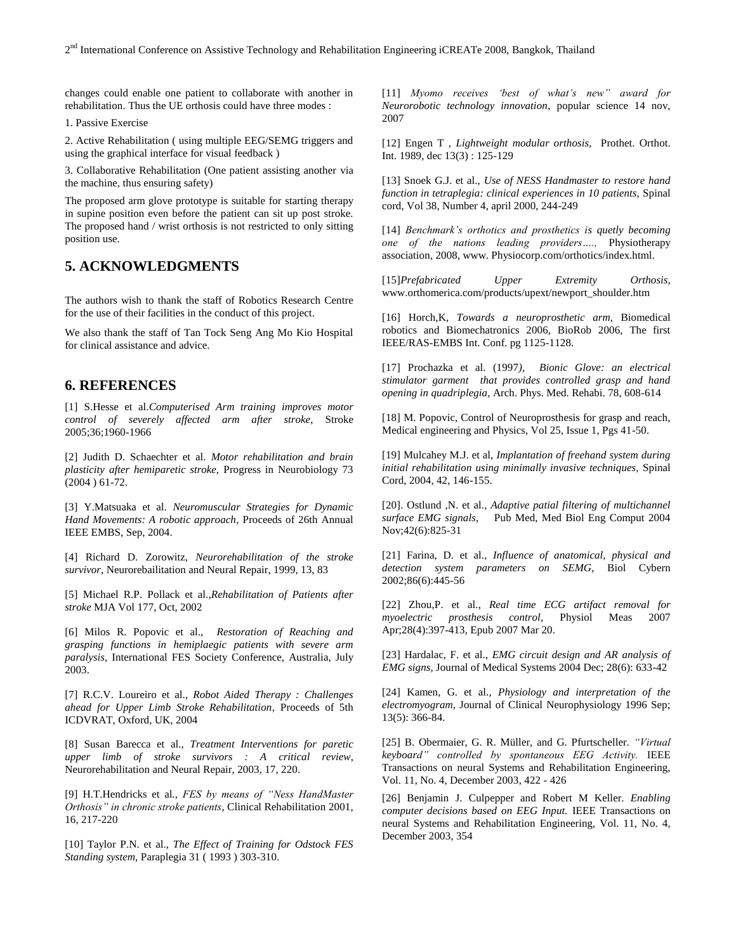changes could enable one patient to collaborate with another in rehabilitation. Thus the UE orthosis could have three modes :

1. Passive Exercise

2. Active Rehabilitation ( using multiple EEG/SEMG triggers and using the graphical interface for visual feedback )

3. Collaborative Rehabilitation (One patient assisting another via the machine, thus ensuring safety)

The proposed arm glove prototype is suitable for starting therapy in supine position even before the patient can sit up post stroke. The proposed hand / wrist orthosis is not restricted to only sitting position use.

## **5. ACKNOWLEDGMENTS**

The authors wish to thank the staff of Robotics Research Centre for the use of their facilities in the conduct of this project.

We also thank the staff of Tan Tock Seng Ang Mo Kio Hospital for clinical assistance and advice.

## **6. REFERENCES**

[1] S.Hesse et al.*Computerised Arm training improves motor control of severely affected arm after stroke*, Stroke 2005;36;1960-1966

[2] Judith D. Schaechter et al. *Motor rehabilitation and brain plasticity after hemiparetic stroke,* Progress in Neurobiology 73 (2004 ) 61-72.

[3] Y.Matsuaka et al. *Neuromuscular Strategies for Dynamic Hand Movements: A robotic approach*, Proceeds of 26th Annual IEEE EMBS, Sep, 2004.

[4] Richard D. Zorowitz, *Neurorehabilitation of the stroke survivor*, Neurorebailitation and Neural Repair, 1999, 13, 83

[5] Michael R.P. Pollack et al.,*Rehabilitation of Patients after stroke* MJA Vol 177, Oct, 2002

[6] Milos R. Popovic et al., *Restoration of Reaching and grasping functions in hemiplaegic patients with severe arm paralysis*, International FES Society Conference, Australia, July 2003.

[7] R.C.V. Loureiro et al., *Robot Aided Therapy : Challenges ahead for Upper Limb Stroke Rehabilitation*, Proceeds of 5th ICDVRAT, Oxford, UK, 2004

[8] Susan Barecca et al., *Treatment Interventions for paretic upper limb of stroke survivors : A critical review*, Neurorehabilitation and Neural Repair, 2003, 17, 220.

[9] H.T.Hendricks et al*., FES by means of "Ness HandMaster Orthosis" in chronic stroke patients*, Clinical Rehabilitation 2001, 16, 217-220

[10] Taylor P.N. et al., *The Effect of Training for Odstock FES Standing system*, Paraplegia 31 ( 1993 ) 303-310.

[11] *Myomo receives "best of what"s new" award for Neurorobotic technology innovation*, popular science 14 nov, 2007

[12] Engen T , *Lightweight modular orthosis,* Prothet. Orthot. Int. 1989, dec 13(3) : 125-129

[13] Snoek G.J. et al., *Use of NESS Handmaster to restore hand function in tetraplegia: clinical experiences in 10 patients,* Spinal cord, Vol 38, Number 4, april 2000, 244-249

[14] *Benchmark"s orthotics and prosthetics is quetly becoming one of the nations leading providers….,* Physiotherapy association, 2008, www. Physiocorp.com/orthotics/index.html.

[15]*Prefabricated Upper Extremity Orthosis,* www.orthomerica.com/products/upext/newport\_shoulder.htm

[16] Horch,K, *Towards a neuroprosthetic arm,* Biomedical robotics and Biomechatronics 2006, BioRob 2006, The first IEEE/RAS-EMBS Int. Conf. pg 1125-1128.

[17] Prochazka et al. (1997*), Bionic Glove: an electrical stimulator garment that provides controlled grasp and hand opening in quadriplegia,* Arch. Phys. Med. Rehabi. 78, 608-614

[18] M. Popovic, Control of Neuroprosthesis for grasp and reach, Medical engineering and Physics, Vol 25, Issue 1, Pgs 41-50.

[19] Mulcahey M.J. et al, *Implantation of freehand system during initial rehabilitation using minimally invasive techniques,* Spinal Cord, 2004, 42, 146-155.

[20]. Ostlund ,N. et al., *Adaptive patial filtering of multichannel surface EMG signals*, Pub Med, Med Biol Eng Comput 2004 Nov;42(6):825-31

[21] Farina, D. et al., *Influence of anatomical, physical and detection system parameters on SEMG*, Biol Cybern 2002;86(6):445-56

[22] Zhou,P. et al., *Real time ECG artifact removal for myoelectric prosthesis control*, Physiol Meas 2007 Apr;28(4):397-413, Epub 2007 Mar 20.

[23] Hardalac, F. et al., *EMG circuit design and AR analysis of EMG signs,* Journal of Medical Systems 2004 Dec; 28(6): 633-42

[24] Kamen, G. et al., *Physiology and interpretation of the electromyogram*, Journal of Clinical Neurophysiology 1996 Sep; 13(5): 366-84.

[25] B. Obermaier, G. R. Müller, and G. Pfurtscheller. *"Virtual keyboard" controlled by spontaneous EEG Activity.* IEEE Transactions on neural Systems and Rehabilitation Engineering, Vol. 11, No. 4, December 2003, 422 - 426

[26] Benjamin J. Culpepper and Robert M Keller. *Enabling computer decisions based on EEG Input.* IEEE Transactions on neural Systems and Rehabilitation Engineering, Vol. 11, No. 4, December 2003, 354